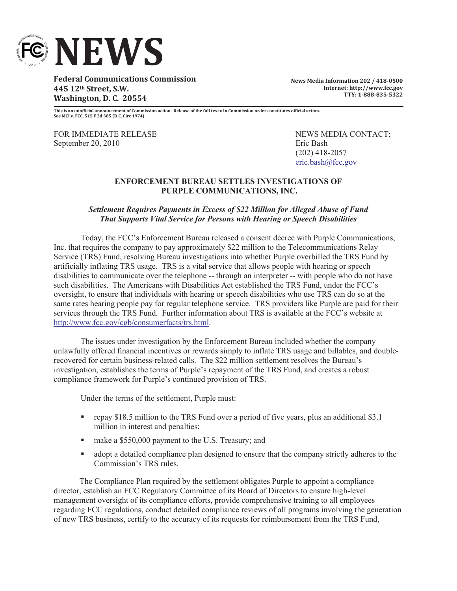

**Federal Communications Commission 445 12th Street, S.W. Washington, D. C. 20554**

**News Media Information 202 / 418-0500 Internet: http://www.fcc.gov TTY: 1-888-835-5322**

**This is an unofficial announcement of Commission action. Release of the full text of a Commission order constitutes official action. See MCI v. FCC. 515 F 2d 385 (D.C. Circ 1974).**

FOR IMMEDIATE RELEASE NEWS MEDIA CONTACT: September 20, 2010 Eric Bash

(202) 418-2057 eric.bash@fcc.gov

## **ENFORCEMENT BUREAU SETTLES INVESTIGATIONS OF PURPLE COMMUNICATIONS, INC.**

## *Settlement Requires Payments in Excess of \$22 Million for Alleged Abuse of Fund That Supports Vital Service for Persons with Hearing or Speech Disabilities*

Today, the FCC's Enforcement Bureau released a consent decree with Purple Communications, Inc. that requires the company to pay approximately \$22 million to the Telecommunications Relay Service (TRS) Fund, resolving Bureau investigations into whether Purple overbilled the TRS Fund by artificially inflating TRS usage. TRS is a vital service that allows people with hearing or speech disabilities to communicate over the telephone -- through an interpreter -- with people who do not have such disabilities. The Americans with Disabilities Act established the TRS Fund, under the FCC's oversight, to ensure that individuals with hearing or speech disabilities who use TRS can do so at the same rates hearing people pay for regular telephone service. TRS providers like Purple are paid for their services through the TRS Fund. Further information about TRS is available at the FCC's website at http://www.fcc.gov/cgb/consumerfacts/trs.html.

The issues under investigation by the Enforcement Bureau included whether the company unlawfully offered financial incentives or rewards simply to inflate TRS usage and billables, and doublerecovered for certain business-related calls. The \$22 million settlement resolves the Bureau's investigation, establishes the terms of Purple's repayment of the TRS Fund, and creates a robust compliance framework for Purple's continued provision of TRS.

Under the terms of the settlement, Purple must:

- repay \$18.5 million to the TRS Fund over a period of five years, plus an additional \$3.1 million in interest and penalties;
- make a \$550,000 payment to the U.S. Treasury; and
- adopt a detailed compliance plan designed to ensure that the company strictly adheres to the Commission's TRS rules.

The Compliance Plan required by the settlement obligates Purple to appoint a compliance director, establish an FCC Regulatory Committee of its Board of Directors to ensure high-level management oversight of its compliance efforts, provide comprehensive training to all employees regarding FCC regulations, conduct detailed compliance reviews of all programs involving the generation of new TRS business, certify to the accuracy of its requests for reimbursement from the TRS Fund,